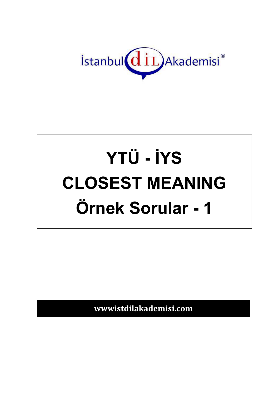

# YTÜ - İYS **CLOSEST MEANING** Örnek Sorular - 1

wwwistdilakademisi.com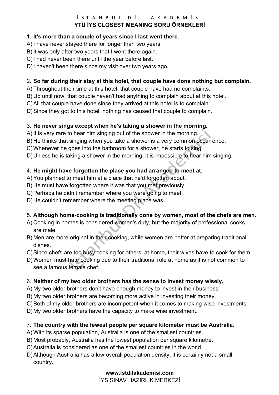#### $i$  STANBUL DİL AKADEMİSİ **YTÜ İYS CLOSEST MEANING SORU ÖRNEKLERİ**

### 1. **It's more than a couple of years since I last went there.**

A) I have never stayed there for longer than two years.

B) It was only after two years that I went there again.

C) I had never been there until the year before last.

D) I haven't been there since my visit over two years ago.

#### 2. **So far during their stay at this hotel, that couple have done nothing but complain.**

- A) Throughout their time at this hotel, that couple have had no complaints.
- B) Up until now, that couple haven't had anything to complain about at this hotel.
- C) All that couple have done since they arrived at this hotel is to complain.

D) Since they got to this hotel, nothing has caused that couple to complain.

### 3. **He never sings except when he's taking a shower in the morning.**

- A) It is very rare to hear him singing out of the shower in the morning.
- B) He thinks that singing when you take a shower is a very common occurrence.
- C) Whenever he goes into the bathroom for a shower, he starts to sing.

D) Unless he is taking a shower in the morning, it is impossible to hear him singing.

## 4. **He might have forgotten the place you had arranged to meet at.**

- A) You planned to meet him at a place that he'd forgotten about.
- B) He must have forgotten where it was that you met previously.
- C) Perhaps he didn't remember where you were going to meet.

D) He couldn't remember where the meeting place was.

## 5. **Although home-cooking is traditionally done by women, most of the chefs are men.**

- A) Cooking in homes is considered women's duty, but the majority of professional cooks are male.
- B) Men are more original in their cooking, while women are better at preparing traditional dishes.
- C) Since chefs are too busy cooking for others, at home, their wives have to cook for them.
- D) Women must hate cooking due to their traditional role at home as it is not common to see a famous female chef.

#### 6. **Neither of my two older brothers has the sense to invest money wisely.**

- A) My two older brothers don't have enough money to invest in their business.
- B) My two older brothers are becoming more active in investing their money.
- C) Both of my older brothers are incompetent when it comes to making wise investments.

D) My two older brothers have the capacity to make wise investment.

## 7. **The country with the fewest people per square kilometer must be Australia.**

- A) With its sparse population, Australia is one of the smallest countries.
- B) Most probably, Australia has the lowest population per square kilometre.
- C) Australia is considered as one of the smallest countries in the world.
- D) Although Australia has a low overall population density, it is certainly not a small country.

## **www.istdilakademisi.com**

İYS SINAV HAZIRLIK MERKEZİ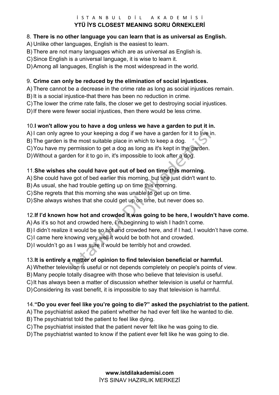#### $i$  STANBUL DİL AKADEMİSİ **YTÜ İYS CLOSEST MEANING SORU ÖRNEKLERİ**

#### 8. **There is no other language you can learn that is as universal as English.**

A) Unlike other languages, English is the easiest to learn.

B) There are not many languages which are as universal as English is.

C) Since English is a universal language, it is wise to learn it.

D) Among all languages, English is the most widespread in the world.

## 9. **Crime can only be reduced by the elimination of social injustices.**

A) There cannot be a decrease in the crime rate as long as social injustices remain.

B) It is a social injustice-that there has been no reduction in crime.

C) The lower the crime rate falls, the closer we get to destroying social injustices.

D)If there were fewer social injustices, then there would be less crime.

## 10.**I won't allow you to have a dog unless we have a garden to put it in.**

A) I can only agree to your keeping a dog if we have a garden for it to live in.

B) The garden is the most suitable place in which to keep a dog.

C) You have my permission to get a dog as long as it's kept in the garden.

D) Without a garden for it to go in, it's impossible to look after a dog.

# 11.**She wishes she could have got out of bed on time this morning.**

A) She could have got of bed earlier this morning, but she just didn't want to.

B) As usual, she had trouble getting up on time this morning.

C) She regrets that this morning she was unable to get up on time.

D) She always wishes that she could get up on time, but never does so.

## 12.**If I'd known how hot and crowded it was going to be here, I wouldn't have come.**

A) As it's so hot and crowded here, I'm beginning to wish I hadn't come.

B) I didn't realize it would be so hot and crowded here, and if I had, I wouldn't have come.

C) I came here knowing very well it would be both hot and crowded.

D) I wouldn't go as I was sure it would be terribly hot and crowded.

# 13.**It is entirely a matter of opinion to find television beneficial or harmful.**

A) Whether television is useful or not depends completely on people's points of view.

B) Many people totally disagree with those who believe that television is useful.

C) It has always been a matter of discussion whether television is useful or harmful.

D) Considering its vast benefit, it is impossible to say that television is harmful.

## 14.**"Do you ever feel like you're going to die?" asked the psychiatrist to the patient.**

A) The psychiatrist asked the patient whether he had ever felt like he wanted to die.

B) The psychiatrist told the patient to feel like dying.

C) The psychiatrist insisted that the patient never felt like he was going to die.

D) The psychiatrist wanted to know if the patient ever felt like he was going to die.

**www.istdilakademisi.com**  İYS SINAV HAZIRLIK MERKEZİ